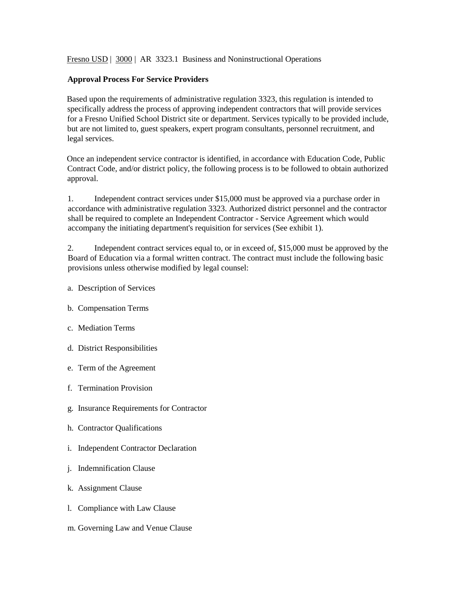Fresno USD | 3000 | AR 3323.1 Business and Noninstructional Operations

## **Approval Process For Service Providers**

Based upon the requirements of administrative regulation 3323, this regulation is intended to specifically address the process of approving independent contractors that will provide services for a Fresno Unified School District site or department. Services typically to be provided include, but are not limited to, guest speakers, expert program consultants, personnel recruitment, and legal services.

Once an independent service contractor is identified, in accordance with Education Code, Public Contract Code, and/or district policy, the following process is to be followed to obtain authorized approval.

1. Independent contract services under \$15,000 must be approved via a purchase order in accordance with administrative regulation 3323. Authorized district personnel and the contractor shall be required to complete an Independent Contractor - Service Agreement which would accompany the initiating department's requisition for services (See exhibit 1).

2. Independent contract services equal to, or in exceed of, \$15,000 must be approved by the Board of Education via a formal written contract. The contract must include the following basic provisions unless otherwise modified by legal counsel:

- a. Description of Services
- b. Compensation Terms
- c. Mediation Terms
- d. District Responsibilities
- e. Term of the Agreement
- f. Termination Provision
- g. Insurance Requirements for Contractor
- h. Contractor Qualifications
- i. Independent Contractor Declaration
- j. Indemnification Clause
- k. Assignment Clause
- l. Compliance with Law Clause
- m. Governing Law and Venue Clause